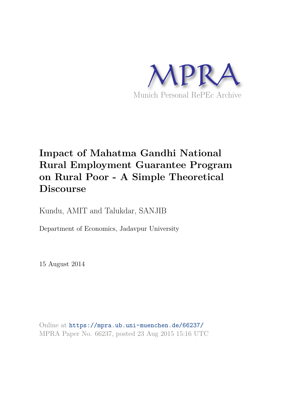

# **Impact of Mahatma Gandhi National Rural Employment Guarantee Program on Rural Poor - A Simple Theoretical Discourse**

Kundu, AMIT and Talukdar, SANJIB

Department of Economics, Jadavpur University

15 August 2014

Online at https://mpra.ub.uni-muenchen.de/66237/ MPRA Paper No. 66237, posted 23 Aug 2015 15:16 UTC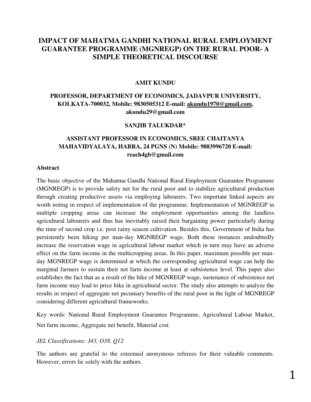# **IMPACT OF MAHATMA GANDHI NATIONAL RURAL EMPLOYMENT GUARANTEE PROGRAMME (MGNREGP) ON THE RURAL POOR- A SIMPLE THEORETICAL DISCOURSE**

#### **AMIT KUNDU**

# **PROFESSOR, DEPARTMENT OF ECONOMICS, JADAVPUR UNIVERSITY, KOLKATA-700032, Mobile: 9830505312 E-mail: [akundu1970@gmail.com,](mailto:akundu1970@gmail.com) akundu29@gmail.com**

#### **SANJIB TALUKDAR\***

# **ASSISTANT PROFESSOR IN ECONOMICS, SREE CHAITANYA MAHAVIDYALAYA, HABRA, 24 PGNS (N) Mobile: 9883996720 E-mail: reach4gb@gmail.com**

#### **Abstract**

The basic objective of the Mahatma Gandhi National Rural Employment Guarantee Programme (MGNREGP) is to provide safety net for the rural poor and to stabilize agricultural production through creating productive assets via employing labourers. Two important linked aspects are worth noting in respect of implementation of the programme. Implementation of MGNREGP in multiple cropping areas can increase the employment opportunities among the landless agricultural labourers and thus has inevitably raised their bargaining power particularly during the time of second crop i.e. post rainy season cultivation. Besides this, Government of India has persistently been hiking per man-day MGNREGP wage. Both these instances undoubtedly increase the reservation wage in agricultural labour market which in turn may have an adverse effect on the farm income in the multicropping areas. In this paper, maximum possible per manday MGNREGP wage is determined at which the corresponding agricultural wage can help the marginal farmers to sustain their net farm income at least at subsistence level. This paper also establishes the fact that as a result of the hike of MGNREGP wage, sustenance of subsistence net farm income may lead to price hike in agricultural sector. The study also attempts to analyze the results in respect of aggregate net pecuniary benefits of the rural poor in the light of MGNREGP considering different agricultural frameworks.

Key words: National Rural Employment Guarantee Programme, Agricultural Labour Market, Net farm income, Aggregate net benefit, Material cost

#### *JEL Classifications: J43, O38, Q12*

The authors are grateful to the esteemed anonymous referees for their valuable comments. However, errors lie solely with the authors.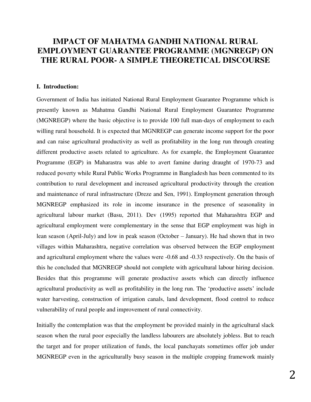# **IMPACT OF MAHATMA GANDHI NATIONAL RURAL EMPLOYMENT GUARANTEE PROGRAMME (MGNREGP) ON THE RURAL POOR- A SIMPLE THEORETICAL DISCOURSE**

#### **I. Introduction:**

Government of India has initiated National Rural Employment Guarantee Programme which is presently known as Mahatma Gandhi National Rural Employment Guarantee Programme (MGNREGP) where the basic objective is to provide 100 full man-days of employment to each willing rural household. It is expected that MGNREGP can generate income support for the poor and can raise agricultural productivity as well as profitability in the long run through creating different productive assets related to agriculture. As for example, the Employment Guarantee Programme (EGP) in Maharastra was able to avert famine during draught of 1970-73 and reduced poverty while Rural Public Works Programme in Bangladesh has been commented to its contribution to rural development and increased agricultural productivity through the creation and maintenance of rural infrastructure (Dreze and Sen, 1991). Employment generation through MGNREGP emphasized its role in income insurance in the presence of seasonality in agricultural labour market (Basu, 2011). Dev (1995) reported that Maharashtra EGP and agricultural employment were complementary in the sense that EGP employment was high in lean season (April-July) and low in peak season (October – January). He had shown that in two villages within Maharashtra, negative correlation was observed between the EGP employment and agricultural employment where the values were -0.68 and -0.33 respectively. On the basis of this he concluded that MGNREGP should not complete with agricultural labour hiring decision. Besides that this programme will generate productive assets which can directly influence agricultural productivity as well as profitability in the long run. The 'productive assets' include water harvesting, construction of irrigation canals, land development, flood control to reduce vulnerability of rural people and improvement of rural connectivity.

Initially the contemplation was that the employment be provided mainly in the agricultural slack season when the rural poor especially the landless labourers are absolutely jobless. But to reach the target and for proper utilization of funds, the local panchayats sometimes offer job under MGNREGP even in the agriculturally busy season in the multiple cropping framework mainly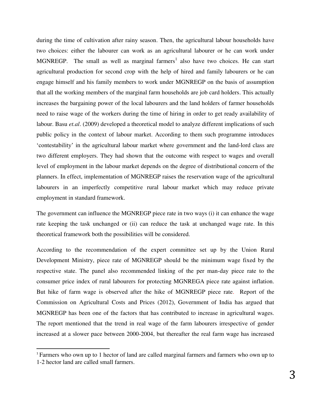during the time of cultivation after rainy season. Then, the agricultural labour households have two choices: either the labourer can work as an agricultural labourer or he can work under MGNREGP. The small as well as marginal farmers<sup>1</sup> also have two choices. He can start agricultural production for second crop with the help of hired and family labourers or he can engage himself and his family members to work under MGNREGP on the basis of assumption that all the working members of the marginal farm households are job card holders. This actually increases the bargaining power of the local labourers and the land holders of farmer households need to raise wage of the workers during the time of hiring in order to get ready availability of labour. Basu *et.al*. (2009) developed a theoretical model to analyze different implications of such public policy in the context of labour market. According to them such programme introduces "contestability" in the agricultural labour market where government and the land-lord class are two different employers. They had shown that the outcome with respect to wages and overall level of employment in the labour market depends on the degree of distributional concern of the planners. In effect, implementation of MGNREGP raises the reservation wage of the agricultural labourers in an imperfectly competitive rural labour market which may reduce private employment in standard framework.

The government can influence the MGNREGP piece rate in two ways (i) it can enhance the wage rate keeping the task unchanged or (ii) can reduce the task at unchanged wage rate. In this theoretical framework both the possibilities will be considered.

According to the recommendation of the expert committee set up by the Union Rural Development Ministry, piece rate of MGNREGP should be the minimum wage fixed by the respective state. The panel also recommended linking of the per man-day piece rate to the consumer price index of rural labourers for protecting MGNREGA piece rate against inflation. But hike of farm wage is observed after the hike of MGNREGP piece rate. Report of the Commission on Agricultural Costs and Prices (2012), Government of India has argued that MGNREGP has been one of the factors that has contributed to increase in agricultural wages. The report mentioned that the trend in real wage of the farm labourers irrespective of gender increased at a slower pace between 2000-2004, but thereafter the real farm wage has increased

l

<sup>&</sup>lt;sup>1</sup> Farmers who own up to 1 hector of land are called marginal farmers and farmers who own up to 1-2 hector land are called small farmers.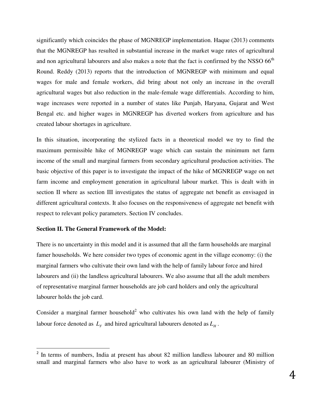significantly which coincides the phase of MGNREGP implementation. Haque (2013) comments that the MGNREGP has resulted in substantial increase in the market wage rates of agricultural and non agricultural labourers and also makes a note that the fact is confirmed by the NSSO 66<sup>th</sup> Round. Reddy (2013) reports that the introduction of MGNREGP with minimum and equal wages for male and female workers, did bring about not only an increase in the overall agricultural wages but also reduction in the male-female wage differentials. According to him, wage increases were reported in a number of states like Punjab, Haryana, Gujarat and West Bengal etc. and higher wages in MGNREGP has diverted workers from agriculture and has created labour shortages in agriculture.

In this situation, incorporating the stylized facts in a theoretical model we try to find the maximum permissible hike of MGNREGP wage which can sustain the minimum net farm income of the small and marginal farmers from secondary agricultural production activities. The basic objective of this paper is to investigate the impact of the hike of MGNREGP wage on net farm income and employment generation in agricultural labour market. This is dealt with in section II where as section III investigates the status of aggregate net benefit as envisaged in different agricultural contexts. It also focuses on the responsiveness of aggregate net benefit with respect to relevant policy parameters. Section IV concludes.

#### **Section II. The General Framework of the Model:**

l

There is no uncertainty in this model and it is assumed that all the farm households are marginal famer households. We here consider two types of economic agent in the village economy: (i) the marginal farmers who cultivate their own land with the help of family labour force and hired labourers and (ii) the landless agricultural labourers. We also assume that all the adult members of representative marginal farmer households are job card holders and only the agricultural labourer holds the job card.

Consider a marginal farmer household<sup>2</sup> who cultivates his own land with the help of family labour force denoted as  $L_F$  and hired agricultural labourers denoted as  $L_H$ .

<sup>&</sup>lt;sup>2</sup> In terms of numbers, India at present has about 82 million landless labourer and 80 million small and marginal farmers who also have to work as an agricultural labourer (Ministry of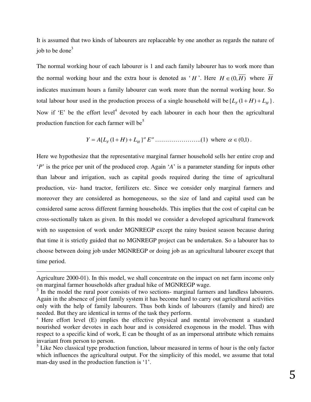It is assumed that two kinds of labourers are replaceable by one another as regards the nature of job to be done<sup>3</sup>

The normal working hour of each labourer is 1 and each family labourer has to work more than the normal working hour and the extra hour is denoted as '*H*'. Here  $H \in (0,\overline{H})$  where  $\overline{H}$ indicates maximum hours a family labourer can work more than the normal working hour. So total labour hour used in the production process of a single household will be  $\{L_F(1+H) + L_H\}$ . Now if  $E'$  be the effort level<sup>4</sup> devoted by each labourer in each hour then the agricultural production function for each farmer will be<sup>5</sup>

$$
Y = A\{L_F(1+H) + L_H\}^{\alpha} E^{\alpha} \dots \dots \dots \dots \dots \dots \dots (1)
$$
 where  $\alpha \in (0,1)$ .

Here we hypothesize that the representative marginal farmer household sells her entire crop and "*P*" is the price per unit of the produced crop. Again "*A*" is a parameter standing for inputs other than labour and irrigation, such as capital goods required during the time of agricultural production, viz- hand tractor, fertilizers etc. Since we consider only marginal farmers and moreover they are considered as homogeneous, so the size of land and capital used can be considered same across different farming households. This implies that the cost of capital can be cross-sectionally taken as given. In this model we consider a developed agricultural framework with no suspension of work under MGNREGP except the rainy busiest season because during that time it is strictly guided that no MGNREGP project can be undertaken. So a labourer has to choose between doing job under MGNREGP or doing job as an agricultural labourer except that time period.

 $\overline{a}$ 

Agriculture 2000-01). In this model, we shall concentrate on the impact on net farm income only on marginal farmer households after gradual hike of MGNREGP wage.

<sup>&</sup>lt;sup>3</sup> In the model the rural poor consists of two sections- marginal farmers and landless labourers. Again in the absence of joint family system it has become hard to carry out agricultural activities only with the help of family labourers. Thus both kinds of labourers (family and hired) are needed. But they are identical in terms of the task they perform.

<sup>4</sup> Here effort level (E) implies the effective physical and mental involvement a standard nourished worker devotes in each hour and is considered exogenous in the model. Thus with respect to a specific kind of work, E can be thought of as an impersonal attribute which remains invariant from person to person.

<sup>&</sup>lt;sup>5</sup> Like Neo classical type production function, labour measured in terms of hour is the only factor which influences the agricultural output. For the simplicity of this model, we assume that total man-day used in the production function is '1'.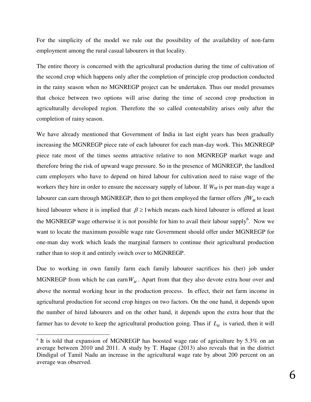For the simplicity of the model we rule out the possibility of the availability of non-farm employment among the rural casual labourers in that locality.

The entire theory is concerned with the agricultural production during the time of cultivation of the second crop which happens only after the completion of principle crop production conducted in the rainy season when no MGNREGP project can be undertaken. Thus our model presumes that choice between two options will arise during the time of second crop production in agriculturally developed region. Therefore the so called contestability arises only after the completion of rainy season.

We have already mentioned that Government of India in last eight years has been gradually increasing the MGNREGP piece rate of each labourer for each man-day work. This MGNREGP piece rate most of the times seems attractive relative to non MGNREGP market wage and therefore bring the risk of upward wage pressure. So in the presence of MGNREGP, the landlord cum employers who have to depend on hired labour for cultivation need to raise wage of the workers they hire in order to ensure the necessary supply of labour. If  $W_M$  is per man-day wage a labourer can earn through MGNREGP, then to get them employed the farmer offers  $\beta W_M$  to each hired labourer where it is implied that  $\beta \ge 1$  which means each hired labourer is offered at least the MGNREGP wage otherwise it is not possible for him to avail their labour supply<sup>6</sup>. Now we want to locate the maximum possible wage rate Government should offer under MGNREGP for one-man day work which leads the marginal farmers to continue their agricultural production rather than to stop it and entirely switch over to MGNREGP.

Due to working in own family farm each family labourer sacrifices his (her) job under MGNREGP from which he can earn  $W_M$ . Apart from that they also devote extra hour over and above the normal working hour in the production process. In effect, their net farm income in agricultural production for second crop hinges on two factors. On the one hand, it depends upon the number of hired labourers and on the other hand, it depends upon the extra hour that the farmer has to devote to keep the agricultural production going. Thus if  $L<sub>H</sub>$  is varied, then it will

 $\overline{a}$ 

<sup>&</sup>lt;sup>6</sup> It is told that expansion of MGNREGP has boosted wage rate of agriculture by 5.3% on an average between 2010 and 2011. A study by T. Haque (2013) also reveals that in the district Dindigul of Tamil Nadu an increase in the agricultural wage rate by about 200 percent on an average was observed.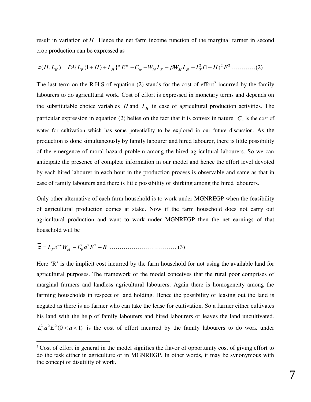result in variation of *H* . Hence the net farm income function of the marginal farmer in second crop production can be expressed as

$$
\pi(H, L_H) = PA\{L_F(1+H) + L_H\}^{\alpha} E^{\alpha} - C_w - W_M L_F - \beta W_M L_H - L_F^2 (1+H)^2 E^2 \dots \dots \dots \dots (2)
$$

The last term on the R.H.S of equation (2) stands for the cost of effort<sup>7</sup> incurred by the family labourers to do agricultural work. Cost of effort is expressed in monetary terms and depends on the substitutable choice variables  $H$  and  $L$ <sup>*H*</sup> in case of agricultural production activities. The particular expression in equation (2) belies on the fact that it is convex in nature.  $C_w$  is the cost of water for cultivation which has some potentiality to be explored in our future discussion. As the production is done simultaneously by family labourer and hired labourer, there is little possibility of the emergence of moral hazard problem among the hired agricultural labourers. So we can anticipate the presence of complete information in our model and hence the effort level devoted by each hired labourer in each hour in the production process is observable and same as that in case of family labourers and there is little possibility of shirking among the hired labourers.

Only other alternative of each farm household is to work under MGNREGP when the feasibility of agricultural production comes at stake. Now if the farm household does not carry out agricultural production and want to work under MGNREGP then the net earnings of that household will be

 *L<sup>F</sup> e W<sup>M</sup> L<sup>F</sup> a E R* 2 22 …………………………… (3)

 $\overline{a}$ 

Here 'R' is the implicit cost incurred by the farm household for not using the available land for agricultural purposes. The framework of the model conceives that the rural poor comprises of marginal farmers and landless agricultural labourers. Again there is homogeneity among the farming households in respect of land holding. Hence the possibility of leasing out the land is negated as there is no farmer who can take the lease for cultivation. So a farmer either cultivates his land with the help of family labourers and hired labourers or leaves the land uncultivated.  $L_F^2 a^2 E^2 (0 < a < 1)$  is the cost of effort incurred by the family labourers to do work under

 $7 \text{ Cost of effort in general in the model signifies the flavor of opportunity cost of giving effort to }$ do the task either in agriculture or in MGNREGP. In other words, it may be synonymous with the concept of disutility of work.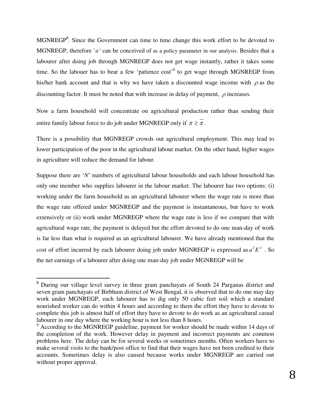MGNREGP<sup>8</sup>. Since the Government can time to time change this work effort to be devoted to MGNREGP, therefore '*a*' can be conceived of as a policy parameter in our analysis. Besides that a labourer after doing job through MGNREGP does not get wage instantly, rather it takes some time. So the labouer has to bear a few 'patience cost'<sup>9</sup> to get wage through MGNREGP from his/her bank account and that is why we have taken a discounted wage income with  $\rho$  as the discounting factor. It must be noted that with increase in delay of payment,  $\rho$  increases.

Now a farm household will concentrate on agricultural production rather than sending their entire family labour force to do job under MGNREGP only if  $\pi \geq \pi$ .

There is a possibility that MGNREGP crowds out agricultural employment. This may lead to lower participation of the poor in the agricultural labour market. On the other hand, higher wages in agriculture will reduce the demand for labour.

Suppose there are '*N*" numbers of agricultural labour households and each labour household has only one member who supplies labourer in the labour market. The labourer has two options: (i) working under the farm household as an agricultural labourer where the wage rate is more than the wage rate offered under MGNREGP and the payment is instantaneous, but have to work extensively or (ii) work under MGNREGP where the wage rate is less if we compare that with agricultural wage rate, the payment is delayed but the effort devoted to do one man-day of work is far less than what is required as an agricultural labourer. We have already mentioned that the cost of effort incurred by each labourer doing job under MGNREGP is expressed as  $a^2 E^2$ . So the net earnings of a labourer after doing one man-day job under MGNREGP will be

l

<sup>&</sup>lt;sup>8</sup> During our village level survey in three gram panchayats of South 24 Parganas district and seven gram panchayats of Birbhum district of West Bengal, it is observed that to do one may day work under MGNREGP, each labourer has to dig only 50 cubic feet soil which a standard nourished worker can do within 4 hours and according to them the effort they have to devote to complete this job is almost half of effort they have to devote to do work as an agricultural casual labourer in one day where the working hour is not less than 8 hours.

<sup>&</sup>lt;sup>9</sup> According to the MGNREGP guideline, payment for worker should be made within 14 days of the completion of the work. However delay in payment and incorrect payments are common problems here. The delay can be for several weeks or sometimes months. Often workers have to make several visits to the bank/post office to find that their wages have not been credited to their accounts. Sometimes delay is also caused because works under MGNREGP are carried out without proper approval.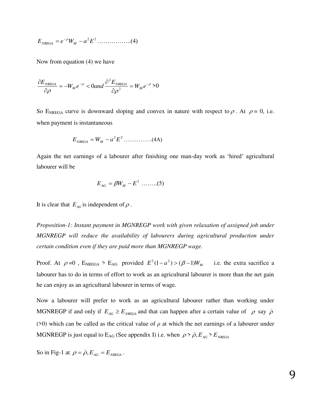$$
E_{NREGA} = e^{-\rho} W_M - a^2 E^2 \dots \dots \dots \dots \dots (4)
$$

Now from equation (4) we have

$$
\frac{\partial E_{NREGA}}{\partial \rho} = -W_M e^{-\rho} < 0 \text{ and } \frac{\partial^2 E_{NREGA}}{\partial \rho^2} = W_M e^{-\rho} > 0
$$

So E<sub>NREGA</sub> curve is downward sloping and convex in nature with respect to  $\rho$ . At  $\rho = 0$ , i.e. when payment is instantaneous

$$
E_{NREGA} = W_M - a^2 E^2 \dots \dots \dots \dots (4A)
$$

Again the net earnings of a labourer after finishing one man-day work as 'hired' agricultural labourer will be

$$
E_{AG} = \beta W_M - E^2 \quad \dots \dots \dots (5)
$$

It is clear that  $E_{AG}$  is independent of  $\rho$ .

*Proposition-1: Instant payment in MGNREGP work with given relaxation of assigned job under MGNREGP will reduce the availability of labourers during agricultural production under certain condition even if they are paid more than MGNREGP wage.* 

Proof. At  $\rho = 0$ ,  $E_{NREGA} > E_{AG}$  provided  $E^2(1-a^2) > (\beta - 1)W_M$  i.e. the extra sacrifice a labourer has to do in terms of effort to work as an agricultural labourer is more than the net gain he can enjoy as an agricultural labourer in terms of wage.

Now a labourer will prefer to work as an agricultural labourer rather than working under MGNREGP if and only if  $E_{AG} \ge E_{NREGA}$  and that can happen after a certain value of  $\rho$  say  $\hat{\rho}$ (>0) which can be called as the critical value of *ρ* at which the net earnings of a labourer under MGNREGP is just equal to  $E_{AG}$  (See appendix I) i.e. when  $\rho > \hat{\rho}, E_{AG} > E_{NREGA}$ 

So in Fig-1 at  $\rho = \hat{\rho}$ ,  $E_{AG} = E_{NREGA}$ .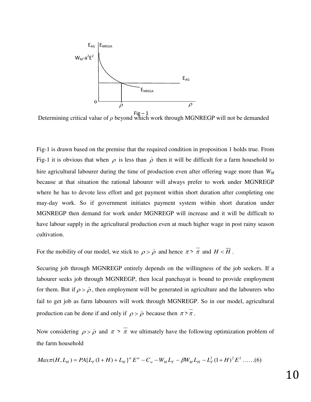

Determining critical value of *ρ* beyond which work through MGNREGP will not be demanded

Fig-1 is drawn based on the premise that the required condition in proposition 1 holds true. From Fig-1 it is obvious that when  $\rho$  is less than  $\hat{\rho}$  then it will be difficult for a farm household to hire agricultural labourer during the time of production even after offering wage more than *W<sup>M</sup>* because at that situation the rational labourer will always prefer to work under MGNREGP where he has to devote less effort and get payment within short duration after completing one may-day work. So if government initiates payment system within short duration under MGNREGP then demand for work under MGNREGP will increase and it will be difficult to have labour supply in the agricultural production even at much higher wage in post rainy season cultivation.

For the mobility of our model, we stick to  $\rho > \hat{\rho}$  and hence  $\pi > \pi$  and  $H < \overline{H}$ .

Securing job through MGNREGP entirely depends on the willingness of the job seekers. If a labourer seeks job through MGNREGP, then local panchayat is bound to provide employment for them. But if  $\rho > \hat{\rho}$ , then employment will be generated in agriculture and the labourers who fail to get job as farm labourers will work through MGNREGP. So in our model, agricultural production can be done if and only if  $\rho > \hat{\rho}$  because then  $\pi > \pi$ .

Now considering  $\rho > \hat{\rho}$  and  $\pi > \bar{\pi}$  we ultimately have the following optimization problem of the farm household

$$
Max\pi(H, L_H) = PA\{L_F(1+H) + L_H\}^{\alpha} E^{\alpha} - C_w - W_M L_F - \beta W_M L_H - L_F^2 (1+H)^2 E^2 \dots \dots (6)
$$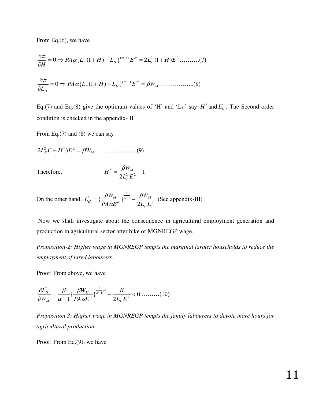From Eq.(6), we have

$$
\frac{\partial \pi}{\partial H} = 0 \Rightarrow PA \alpha \{L_F (1+H) + L_H\}^{(\alpha-1)} E^{\alpha} = 2L_F^2 (1+H) E^2 \dots \dots \dots (7)
$$
  

$$
\frac{\partial \pi}{\partial L_H} = 0 \Rightarrow PA \alpha \{L_F (1+H) + L_H\}^{(\alpha-1)} E^{\alpha} = \beta W_M \dots \dots \dots \dots (8)
$$

Eq.(7) and Eq.(8) give the optimum values of 'H' and 'L<sub>H</sub>' say  $H^*$  and  $L^*$ <sub>H</sub>. The Second order condition is checked in the appendix- II

From Eq.(7) and (8) we can say

$$
2L_F^2(1+H^*)E^2 = \beta W_M \quad \dots \quad \dots \quad \dots \quad (9)
$$

Therefore, \* *H*

$$
^* = \frac{\beta W_M}{2L_F^2 E^2} - 1
$$

On the other hand,  $L_H^* = {\frac{\rho H_M}{R A \sim E^{\alpha}}}_{a}$ 1 \* 2  $\left\{\frac{P^H M}{P + P^{\alpha}}\right\}$  $L_{\scriptscriptstyle F} E$ *W*  $PA \alpha E$  $L_{H}^{*} = \{\frac{\beta W}{R_{H}}\}$ *F*  $\mu_{H}^{*} = \left\{ \frac{\rho v_{M}}{P A E E^{a}} \right\}$   $\alpha^{-1} - \frac{\rho v_{M}}{2I E}$  $\beta$  $\alpha$  $\beta W_{\overline{M} \quad \frac{\partial}{\partial \alpha}}$  $=\left\{\frac{P_{YM}}{P_{AB} + P_{AB}}\right\}^{\alpha-1} - \frac{P_{AM}}{2I - P_{AB}}$  (See appendix-III)

 Now we shall investigate about the consequence in agricultural employment generation and production in agricultural sector after hike of MGNREGP wage.

*Proposition-2: Higher wage in MGNREGP tempts the marginal farmer households to reduce the employment of hired labourers.* 

Proof: From above, we have

$$
\frac{\partial L_H^*}{\partial W_M} = \frac{\beta}{\alpha - 1} \left\{ \frac{\beta W_M}{PA \alpha E^{\alpha}} \right\}^{\frac{1}{\alpha - 1} - 1} - \frac{\beta}{2L_F E^2} < 0 \dots \dots \dots (10)
$$

*Proposition 3: Higher wage in MGNREGP tempts the family labourers to devote more hours for agricultural production.* 

Proof: From Eq.(9), we have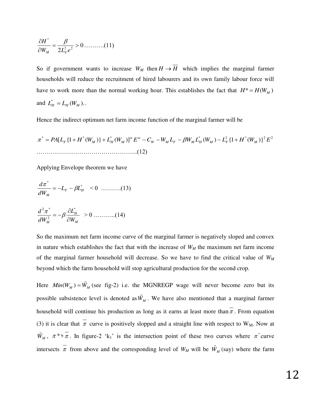$$
\frac{\partial H^*}{\partial W_M} = \frac{\beta}{2L_F^2 e^2} > 0 \dots \dots \dots (11)
$$

So if government wants to increase  $W_M$  then  $H \rightarrow \overline{H}$  which implies the marginal farmer households will reduce the recruitment of hired labourers and its own family labour force will have to work more than the normal working hour. This establishes the fact that  $H^* = H(W_M)$ and  $L_H^* = L_H(W_M)$ ..

Hence the indirect optimum net farm income function of the marginal farmer will be

$$
\pi^* = PA[L_F\{1 + H^*(W_M)\} + L_H^*(W_M)]^{\alpha} E^{\alpha} - C_W - W_M L_F - \beta W_M L_H^*(W_M) - L_F^2\{1 + H^*(W_M)\}^2 E^2
$$
  
.................(12)

Applying Envelope theorem we have

$$
\frac{d\pi^*}{dW_M} = -L_F - \beta L_H^* \quad < 0 \quad \dots \dots \dots \dots (13)
$$

$$
\frac{d^2\pi^*}{dW_M^2} = -\beta \frac{\partial L_H^*}{\partial W_M} > 0 \dots \dots \dots \dots (14)
$$

So the maximum net farm income curve of the marginal farmer is negatively sloped and convex in nature which establishes the fact that with the increase of *WM* the maximum net farm income of the marginal farmer household will decrease. So we have to find the critical value of *W<sup>M</sup>* beyond which the farm household will stop agricultural production for the second crop.

Here  $Min(W_M) = W_M$  $\rightarrow$  $(W_M) = \tilde{W}_M$  (see fig-2) i.e. the MGNREGP wage will never become zero but its possible subsistence level is denoted as*W<sup>M</sup>*  $\rightarrow$ . We have also mentioned that a marginal farmer household will continue his production as long as it earns at least more than  $\overline{\pi}$ . From equation (3) it is clear that  $\overline{\pi}$  curve is positively slopped and a straight line with respect to W<sub>M</sub>. Now at *W<sup>M</sup>*  $\rightarrow$ ,  $\pi^*$   $\pi$ . In figure-2 'k<sub>1</sub>' is the intersection point of these two curves where  $\pi^*$  curve intersects  $\overline{\pi}$  from above and the corresponding level of  $W_M$  will be  $\hat{W}_M$  (say) where the farm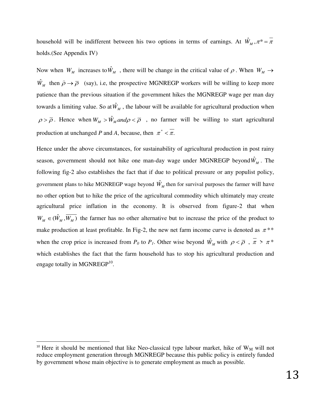household will be indifferent between his two options in terms of earnings. At  $\hat{W}_M$ ,  $\pi^* = \pi$ holds.(See Appendix IV)

Now when  $W_M$  increases to  $\hat{W}_M$ , there will be change in the critical value of  $\rho$ . When  $W_M \to$  $\hat{W}_M$  then  $\hat{\rho} \to \overline{\rho}$  (say), i.e, the prospective MGNREGP workers will be willing to keep more patience than the previous situation if the government hikes the MGNREGP wage per man day towards a limiting value. So at  $\hat{W}_M$  , the labour will be available for agricultural production when  $\rho > \overline{\rho}$ . Hence when  $W_M > \hat{W}_M$  and  $\rho < \overline{\rho}$ , no farmer will be willing to start agricultural production at unchanged *P* and *A*, because, then  $\pi^* < \pi$ .

Hence under the above circumstances, for sustainability of agricultural production in post rainy season, government should not hike one man-day wage under MGNREGP beyond  $\hat{W}_M$ . The following fig-2 also establishes the fact that if due to political pressure or any populist policy, government plans to hike MGNREGP wage beyond  $\hat{W}_M$  then for survival purposes the farmer will have no other option but to hike the price of the agricultural commodity which ultimately may create agricultural price inflation in the economy. It is observed from figure-2 that when  $W_M \in (\hat{W}_M, \overline{W_M})$  the farmer has no other alternative but to increase the price of the product to make production at least profitable. In Fig-2, the new net farm income curve is denoted as  $\pi^{**}$ when the crop price is increased from  $P_0$  to  $P_1$ . Other wise beyond  $\hat{W}_M$  with  $\rho < \overline{\rho}$ ,  $\overline{\pi} > \pi^*$ which establishes the fact that the farm household has to stop his agricultural production and engage totally in MGNREGP $^{10}$ .

l

<sup>&</sup>lt;sup>10</sup> Here it should be mentioned that like Neo-classical type labour market, hike of  $W_M$  will not reduce employment generation through MGNREGP because this public policy is entirely funded by government whose main objective is to generate employment as much as possible.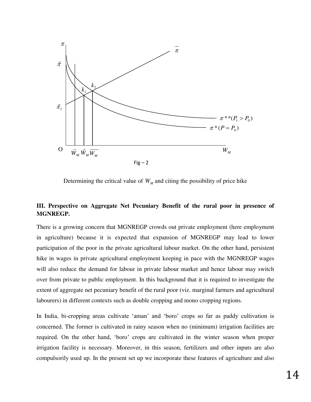

Determining the critical value of  $W_M$  and citing the possibility of price hike

# **III. Perspective on Aggregate Net Pecuniary Benefit of the rural poor in presence of MGNREGP.**

There is a growing concern that MGNREGP crowds out private employment (here employment in agriculture) because it is expected that expansion of MGNREGP may lead to lower participation of the poor in the private agricultural labour market. On the other hand, persistent hike in wages in private agricultural employment keeping in pace with the MGNREGP wages will also reduce the demand for labour in private labour market and hence labour may switch over from private to public employment. In this background that it is required to investigate the extent of aggregate net pecuniary benefit of the rural poor (viz. marginal farmers and agricultural labourers) in different contexts such as double cropping and mono cropping regions.

In India, bi-cropping areas cultivate "aman" and "boro" crops so far as paddy cultivation is concerned. The former is cultivated in rainy season when no (minimum) irrigation facilities are required. On the other hand, "boro" crops are cultivated in the winter season when proper irrigation facility is necessary. Moreover, in this season, fertilizers and other inputs are also compulsorily used up. In the present set up we incorporate these features of agriculture and also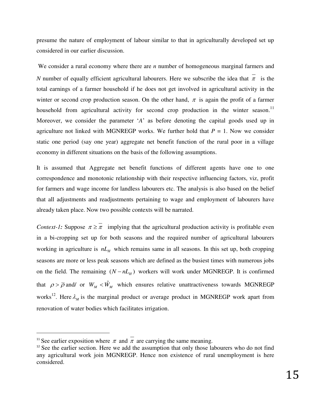presume the nature of employment of labour similar to that in agriculturally developed set up considered in our earlier discussion.

We consider a rural economy where there are *n* number of homogeneous marginal farmers and *N* number of equally efficient agricultural labourers. Here we subscribe the idea that  $\overline{\tau}$  is the total earnings of a farmer household if he does not get involved in agricultural activity in the winter or second crop production season. On the other hand,  $\pi$  is again the profit of a farmer household from agricultural activity for second crop production in the winter season.<sup>11</sup> Moreover, we consider the parameter "*A*" as before denoting the capital goods used up in agriculture not linked with MGNREGP works. We further hold that  $P = 1$ . Now we consider static one period (say one year) aggregate net benefit function of the rural poor in a village economy in different situations on the basis of the following assumptions.

It is assumed that Aggregate net benefit functions of different agents have one to one correspondence and monotonic relationship with their respective influencing factors, viz, profit for farmers and wage income for landless labourers etc. The analysis is also based on the belief that all adjustments and readjustments pertaining to wage and employment of labourers have already taken place. Now two possible contexts will be narrated.

*Context-1:* Suppose  $\pi \geq \overline{\pi}$  implying that the agricultural production activity is profitable even in a bi-cropping set up for both seasons and the required number of agricultural labourers working in agriculture is  $nL<sub>H</sub>$  which remains same in all seasons. In this set up, both cropping seasons are more or less peak seasons which are defined as the busiest times with numerous jobs on the field. The remaining  $(N - nL<sub>H</sub>)$  workers will work under MGNREGP. It is confirmed that  $\rho > \overline{\rho}$  and/ or  $W_M < \hat{W}_M$  which ensures relative unattractiveness towards MGNREGP works<sup>12</sup>. Here  $\lambda_M$  is the marginal product or average product in MGNREGP work apart from renovation of water bodies which facilitates irrigation.

 $\overline{a}$ 

<sup>&</sup>lt;sup>11</sup> See earlier exposition where  $\pi$  and  $\pi$  are carrying the same meaning.

 $12$  See the earlier section. Here we add the assumption that only those labourers who do not find any agricultural work join MGNREGP. Hence non existence of rural unemployment is here considered.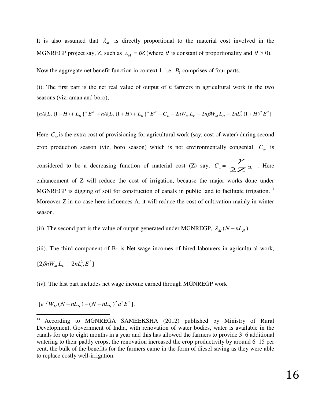It is also assumed that  $\lambda_M$  is directly proportional to the material cost involved in the MGNREGP project say, Z, such as  $\lambda_M = \theta Z$  (where  $\theta$  is constant of proportionality and  $\theta > 0$ ).

Now the aggregate net benefit function in context 1, i.e,  $B_1$  comprises of four parts.

(i). The first part is the net real value of output of *n* farmers in agricultural work in the two seasons (viz, aman and boro),

$$
[nA\{L_{F}(1+H)+L_{H}\}^{\alpha} E^{\alpha}+nA\{L_{F}(1+H)+L_{H}\}^{\alpha} E^{\alpha}-C_{w}-2nW_{M}L_{F}-2n\beta W_{M}L_{H}-2nL_{F}^{2}(1+H)^{2} E^{2}]
$$

Here  $C_w$  is the extra cost of provisioning for agricultural work (say, cost of water) during second crop production season (viz, boro season) which is not environmentally congenial. *C<sup>w</sup>* is considered to be a decreasing function of material cost (Z) say,  $C_w = \frac{\gamma}{2Z^2}$ . Here enhancement of Z will reduce the cost of irrigation, because the major works done under MGNREGP is digging of soil for construction of canals in public land to facilitate irrigation.<sup>13</sup> Moreover Z in no case here influences A, it will reduce the cost of cultivation mainly in winter season.

(ii). The second part is the value of output generated under MGNREGP,  $\lambda_M (N - nL_H)$ .

(iii). The third component of  $B_1$  is Net wage incomes of hired labourers in agricultural work,

$$
[2\beta nW_{M}L_{H}-2nL_{H}^{2}E^{2}]
$$

 $\overline{a}$ 

(iv). The last part includes net wage income earned through MGNREGP work

 $[e^{-\rho}W_M(N - nL_H) - (N - nL_H)^2 a^2 E^2].$ 

<sup>&</sup>lt;sup>13</sup> According to MGNREGA SAMEEKSHA (2012) published by Ministry of Rural Development, Government of India, with renovation of water bodies, water is available in the canals for up to eight months in a year and this has allowed the farmers to provide 3–6 additional watering to their paddy crops, the renovation increased the crop productivity by around 6–15 per cent, the bulk of the benefits for the farmers came in the form of diesel saving as they were able to replace costly well-irrigation.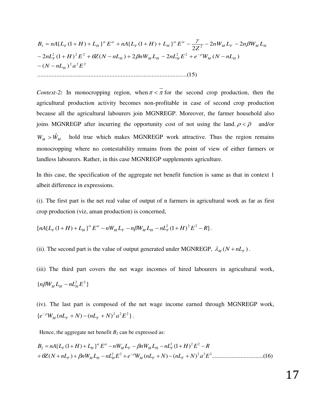$$
B_1 = nA\{L_F(1+H) + L_H\}^{\alpha} E^{\alpha} + nA\{L_F(1+H) + L_H\}^{\alpha} E^{\alpha} - \frac{\gamma}{2Z^2} - 2nW_M L_F - 2n\beta W_M L_H
$$
  

$$
-2nL_F^2(1+H)^2 E^2 + \theta Z(N - nL_H) + 2\beta nW_M L_H - 2nL_H^2 E^2 + e^{-\rho}W_M(N - nL_H)
$$
  

$$
-(N - nL_H)^2 a^2 E^2
$$
  
...

*Context-2***:** In monocropping region, when  $\pi < \pi$  for the second crop production, then the agricultural production activity becomes non-profitable in case of second crop production because all the agricultural labourers join MGNREGP. Moreover, the farmer household also joins MGNREGP after incurring the opportunity cost of not using the land.  $\rho < \overline{\rho}$  and/or  $W_M > W_M$  hold true which makes MGNREGP work attractive. Thus the region remains monocropping where no contestability remains from the point of view of either farmers or landless labourers. Rather, in this case MGNREGP supplements agriculture.

In this case, the specification of the aggregate net benefit function is same as that in context 1 albeit difference in expressions.

(i). The first part is the net real value of output of n farmers in agricultural work as far as first crop production (viz, aman production) is concerned,

$$
[nA\{L_{F}(1+H)+L_{H}\}^{\alpha} E^{\alpha}-nW_{M}L_{F}-n\beta W_{M}L_{H}-nL_{F}^{2}(1+H)^{2} E^{2}-R].
$$

(ii). The second part is the value of output generated under MGNREGP,  $\lambda_M (N + nL_F)$ .

(iii) The third part covers the net wage incomes of hired labourers in agricultural work,  ${n \beta W_M} L_H - n L_H^2 E^2$ 

(iv). The last part is composed of the net wage income earned through MGNREGP work,  ${e^{-\rho}W_M(nL_F+N) - (nL_F+N)^2 a^2 E^2}.$ 

Hence, the aggregate net benefit  $B_2$  can be expressed as:

$$
B_2 = nA\{L_F(1+H) + L_H\}^{\alpha} E^{\alpha} - nW_M L_F - \beta nW_M L_H - nL_F^2 (1+H)^2 E^2 - R
$$
  
+  $\theta Z(N + nL_F) + \beta nW_M L_H - nL_H^2 E^2 + e^{-\rho} W_M (nL_F + N) - (nL_F + N)^2 a^2 E^2$ .................(16)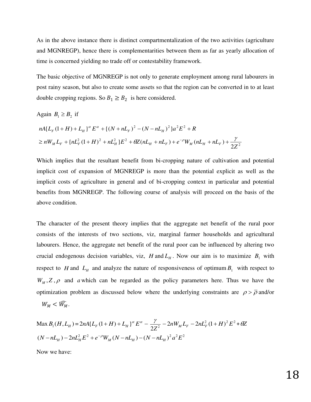As in the above instance there is distinct compartmentalization of the two activities (agriculture and MGNREGP), hence there is complementarities between them as far as yearly allocation of time is concerned yielding no trade off or contestability framework.

The basic objective of MGNREGP is not only to generate employment among rural labourers in post rainy season, but also to create some assets so that the region can be converted in to at least double cropping regions. So  $B_1 \geq B_2$  is here considered.

Again 
$$
B_1 \ge B_2
$$
 if  
\n
$$
nA\{L_F(1+H) + L_H\}^{\alpha} E^{\alpha} + \{(N+nL_F)^2 - (N-nL_H)^2\}a^2 E^2 + R
$$
\n
$$
\ge nW_M L_F + \{nL_F^2(1+H)^2 + nL_H^2\}E^2 + \theta Z(nL_H + nL_F) + e^{-\rho}W_M(nL_H + nL_F) + \frac{\gamma}{2Z^2}
$$

Which implies that the resultant benefit from bi-cropping nature of cultivation and potential implicit cost of expansion of MGNREGP is more than the potential explicit as well as the implicit costs of agriculture in general and of bi-cropping context in particular and potential benefits from MGNREGP. The following course of analysis will proceed on the basis of the above condition.

The character of the present theory implies that the aggregate net benefit of the rural poor consists of the interests of two sections, viz, marginal farmer households and agricultural labourers. Hence, the aggregate net benefit of the rural poor can be influenced by altering two crucial endogenous decision variables, viz, *H* and  $L_H$ . Now our aim is to maximize  $B_1$  with respect to *H* and  $L_H$  and analyze the nature of responsiveness of optimum  $B_1$  with respect to  $W_M$ , Z,  $\rho$  and *a* which can be regarded as the policy parameters here. Thus we have the optimization problem as discussed below where the underlying constraints are  $\rho > \overline{\rho}$  and/or  $W_M < \widehat{W_M}$ .

$$
\text{Max } B_1(H, L_H) = 2nA\{L_F(1+H) + L_H\}^\alpha E^\alpha - \frac{\gamma}{2Z^2} - 2nW_M L_F - 2nL_F^2(1+H)^2 E^2 + \theta Z
$$
\n
$$
(N - nL_H) - 2nL_H^2 E^2 + e^{-\rho} W_M(N - nL_H) - (N - nL_H)^2 a^2 E^2
$$

Now we have: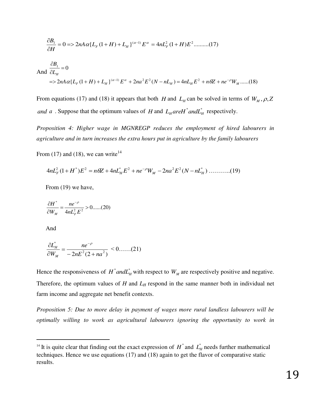$$
\frac{\partial B_1}{\partial H} = 0 \implies 2nA \alpha \{L_F (1+H) + L_H\}^{(\alpha-1)} E^{\alpha} = 4nL_F^2 (1+H)E^2 \dots \dots \dots (17)
$$
  
And 
$$
\frac{\partial B_1}{\partial L_H} = 0
$$

$$
\implies 2nA \alpha \{L_F (1+H) + L_H\}^{(\alpha-1)} E^{\alpha} + 2na^2 E^2 (N - nL_H) = 4nL_H E^2 + n\theta Z + ne^{-\rho} W_M \dots \dots (18)
$$

From equations (17) and (18) it appears that both *H* and  $L_H$  can be solved in terms of  $W_M$ ,  $\rho$ , Z *and a* . Suppose that the optimum values of *H* and  $L_H$  *areH*<sup>\*</sup> *and* $L_H^*$  respectively.

*Proposition 4: Higher wage in MGNREGP reduces the employment of hired labourers in agriculture and in turn increases the extra hours put in agriculture by the family labourers* 

From (17) and (18), we can write<sup>14</sup>

$$
4nL_F^2(1+H^*)E^2 = n\theta Z + 4nL_H^*E^2 + ne^{-\rho}W_M - 2na^2E^2(N - nL_H^*) \dots \dots \dots \dots (19)
$$

From (19) we have,

$$
\frac{\partial H^*}{\partial W_M} = \frac{ne^{-\rho}}{4nL_F^2 E^2} > 0 \dots (20)
$$

And

 $\overline{a}$ 

*B*

$$
\frac{\partial L_H^*}{\partial W_M} = \frac{ne^{-\rho}}{-2nE^2(2+na^2)} < 0 \dots (21)
$$

Hence the responsiveness of  $H^*$  *and* $L^*$ <sup>*H*</sup> with respect to  $W_M$  are respectively positive and negative. Therefore, the optimum values of *H* and *LH* respond in the same manner both in individual net farm income and aggregate net benefit contexts.

*Proposition 5: Due to more delay in payment of wages more rural landless labourers will be optimally willing to work as agricultural labourers ignoring the opportunity to work in* 

<sup>&</sup>lt;sup>14</sup> It is quite clear that finding out the exact expression of  $H^*$  and  $L^*$ <sub>H</sub> needs further mathematical techniques. Hence we use equations (17) and (18) again to get the flavor of comparative static results.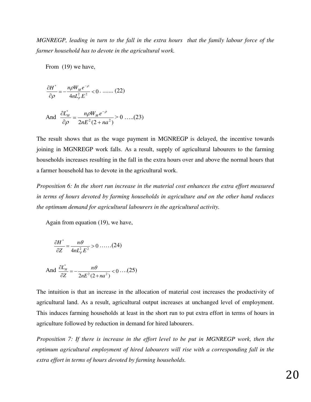*MGNREGP, leading in turn to the fall in the extra hours that the family labour force of the farmer household has to devote in the agricultural work.* 

From  $(19)$  we have,

$$
\frac{\partial H^*}{\partial \rho} = -\frac{n\rho W_M e^{-\rho}}{4nL_F^2 E^2} < 0 \dots \dots \dots (22)
$$

And 
$$
\frac{\partial L_H^*}{\partial \rho} = \frac{n\rho W_M e^{-\rho}}{2nE^2(2+na^2)} > 0
$$
 ....(23)

The result shows that as the wage payment in MGNREGP is delayed, the incentive towards joining in MGNREGP work falls. As a result, supply of agricultural labourers to the farming households increases resulting in the fall in the extra hours over and above the normal hours that a farmer household has to devote in the agricultural work.

*Proposition 6: In the short run increase in the material cost enhances the extra effort measured in terms of hours devoted by farming households in agriculture and on the other hand reduces the optimum demand for agricultural labourers in the agricultural activity.* 

Again from equation (19), we have,

$$
\frac{\partial H^*}{\partial Z} = \frac{n\theta}{4nL_F^2 E^2} > 0 \dots (24)
$$

And 
$$
\frac{\partial L_n^*}{\partial Z} = -\frac{n\theta}{2nE^2(2+na^2)} < 0 \dots (25)
$$

The intuition is that an increase in the allocation of material cost increases the productivity of agricultural land. As a result, agricultural output increases at unchanged level of employment. This induces farming households at least in the short run to put extra effort in terms of hours in agriculture followed by reduction in demand for hired labourers.

*Proposition 7: If there is increase in the effort level to be put in MGNREGP work, then the optimum agricultural employment of hired labourers will rise with a corresponding fall in the extra effort in terms of hours devoted by farming households.*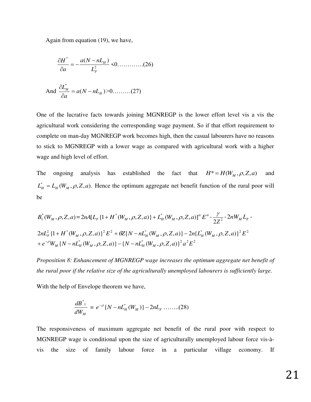Again from equation (19), we have,

$$
\frac{\partial H^*}{\partial a} = -\frac{a(N - nL_H)}{L_F^2} < 0. \tag{26}
$$
\nAnd 
$$
\frac{\partial L_H^*}{\partial a} = a(N - nL_H) > 0. \tag{27}
$$

One of the lucrative facts towards joining MGNREGP is the lower effort level vis a vis the agricultural work considering the corresponding wage payment. So if that effort requirement to complete on man-day MGNREGP work becomes high, then the casual labourers have no reasons to stick to MGNREGP with a lower wage as compared with agricultural work with a higher wage and high level of effort.

The ongoing analysis has established the fact that  $H^* = H(W_M, \rho, Z, a)$  and  $L_H^* = L_H(W_M, \rho, Z, a)$ . Hence the optimum aggregate net benefit function of the rural poor will be

$$
B_1^*(W_M, \rho, Z, a) = 2nA[L_F\{1 + H^*(W_M, \rho, Z, a)\} + L_H^*(W_M, \rho, Z, a)\}^{\alpha} E^{\alpha} - \frac{\gamma}{2Z^2} - 2nW_M L_F - 2nL_F^2\{1 + H^*(W_M, \rho, Z, a)\}^2 E^2 + \theta Z\{N - nL_H^*(W_M, \rho, Z, a)\} - 2n\{L_H^*(W_M, \rho, Z, a)\}^2 E^2 + e^{-\rho}W_M\{N - nL_H^*(W_M, \rho, Z, a)\} - \{N - nL_H^*(W_M, \rho, Z, a)\}^2 a^2 E^2
$$

*Proposition 8: Enhancement of MGNREGP wage increases the optimum aggregate net benefit of the rural poor if the relative size of the agriculturally unemployed labourers is sufficiently large.* 

With the help of Envelope theorem we have,

$$
\frac{d\overline{B}_{\perp}^{*}}{dW_{M}} = e^{-\rho} \{ N - nL_{H}^{*}(W_{M}) \} - 2nL_{F} \dots \dots \dots (28)
$$

The responsiveness of maximum aggregate net benefit of the rural poor with respect to MGNREGP wage is conditional upon the size of agriculturally unemployed labour force vis-àvis the size of family labour force in a particular village economy. If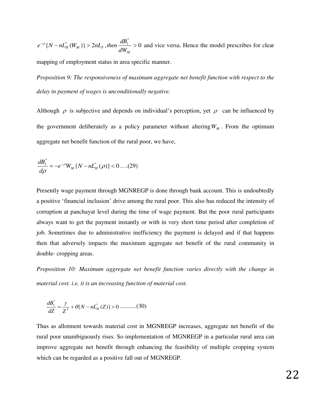${N-nL_{H}^{*}(W_{M})}>2nL_{F}$ , then  $\frac{dE_{1}}{dE_{H}}>0$  $e^{-\rho}\{N - nL_{H}^{*}(W_{M})\} > 2nL_{F}$ , then  $\frac{dB_{1}^{*}}{2} >$ *M*  $H^{(W_M)}$   $\leq$   $2nL_F$ , then dW  $e^{-\rho}$  { $N - nL_H^*(W_M)$ } >  $2nL_F$ , *then*  $\frac{dB_1^*}{W_H}$  > 0 and vice versa. Hence the model prescribes for clear

mapping of employment status in area specific manner.

*Proposition 9: The responsiveness of maximum aggregate net benefit function with respect to the delay in payment of wages is unconditionally negative.* 

Although  $\rho$  is subjective and depends on individual's perception, yet  $\rho$  can be influenced by the government deliberately as a policy parameter without altering  $W_M$ . From the optimum aggregate net benefit function of the rural poor, we have,

$$
\frac{dB_1^*}{d\rho} = -e^{-\rho}W_M\{N - nL_H^*(\rho)\} < 0 \dots (29)
$$

Presently wage payment through MGNREGP is done through bank account. This is undoubtedly a positive "financial inclusion" drive among the rural poor. This also has reduced the intensity of corruption at panchayat level during the time of wage payment. But the poor rural participants always want to get the payment instantly or with in very short time period after completion of job. Sometimes due to administrative inefficiency the payment is delayed and if that happens then that adversely impacts the maximum aggregate net benefit of the rural community in double- cropping areas.

*Proposition 10: Maximum aggregate net benefit function varies directly with the change in material cost. i.e, it is an increasing function of material cost.* 

$$
\frac{dB_1^*}{dZ} = \frac{\gamma}{Z^3} + \theta \{ N - nL_H^*(Z) \} > 0 \dots \dots \dots \dots (30)
$$

Thus as allotment towards material cost in MGNREGP increases, aggregate net benefit of the rural poor unambiguously rises. So implementation of MGNREGP in a particular rural area can improve aggregate net benefit through enhancing the feasibility of multiple cropping system which can be regarded as a positive fall out of MGNREGP.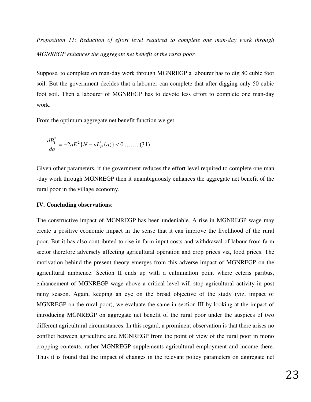*Proposition 11: Reduction of effort level required to complete one man-day work through MGNREGP enhances the aggregate net benefit of the rural poor.* 

Suppose, to complete on man-day work through MGNREGP a labourer has to dig 80 cubic foot soil. But the government decides that a labourer can complete that after digging only 50 cubic foot soil. Then a labourer of MGNREGP has to devote less effort to complete one man-day work.

From the optimum aggregate net benefit function we get

$$
\frac{dB_1^*}{da} = -2aE^2\{N - nL_H^*(a)\} < 0 \dots \dots \dots (31)
$$

Given other parameters, if the government reduces the effort level required to complete one man -day work through MGNREGP then it unambiguously enhances the aggregate net benefit of the rural poor in the village economy.

#### **IV. Concluding observations**:

The constructive impact of MGNREGP has been undeniable. A rise in MGNREGP wage may create a positive economic impact in the sense that it can improve the livelihood of the rural poor. But it has also contributed to rise in farm input costs and withdrawal of labour from farm sector therefore adversely affecting agricultural operation and crop prices viz, food prices. The motivation behind the present theory emerges from this adverse impact of MGNREGP on the agricultural ambience. Section II ends up with a culmination point where ceteris paribus, enhancement of MGNREGP wage above a critical level will stop agricultural activity in post rainy season. Again, keeping an eye on the broad objective of the study (viz, impact of MGNREGP on the rural poor), we evaluate the same in section III by looking at the impact of introducing MGNREGP on aggregate net benefit of the rural poor under the auspices of two different agricultural circumstances. In this regard, a prominent observation is that there arises no conflict between agriculture and MGNREGP from the point of view of the rural poor in mono cropping contexts, rather MGNREGP supplements agricultural employment and income there. Thus it is found that the impact of changes in the relevant policy parameters on aggregate net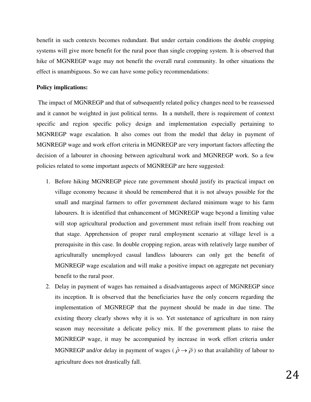benefit in such contexts becomes redundant. But under certain conditions the double cropping systems will give more benefit for the rural poor than single cropping system. It is observed that hike of MGNREGP wage may not benefit the overall rural community. In other situations the effect is unambiguous. So we can have some policy recommendations:

#### **Policy implications:**

 The impact of MGNREGP and that of subsequently related policy changes need to be reassessed and it cannot be weighted in just political terms. In a nutshell, there is requirement of context specific and region specific policy design and implementation especially pertaining to MGNREGP wage escalation. It also comes out from the model that delay in payment of MGNREGP wage and work effort criteria in MGNREGP are very important factors affecting the decision of a labourer in choosing between agricultural work and MGNREGP work. So a few policies related to some important aspects of MGNREGP are here suggested:

- 1. Before hiking MGNREGP piece rate government should justify its practical impact on village economy because it should be remembered that it is not always possible for the small and marginal farmers to offer government declared minimum wage to his farm labourers. It is identified that enhancement of MGNREGP wage beyond a limiting value will stop agricultural production and government must refrain itself from reaching out that stage. Apprehension of proper rural employment scenario at village level is a prerequisite in this case. In double cropping region, areas with relatively large number of agriculturally unemployed casual landless labourers can only get the benefit of MGNREGP wage escalation and will make a positive impact on aggregate net pecuniary benefit to the rural poor.
- 2. Delay in payment of wages has remained a disadvantageous aspect of MGNREGP since its inception. It is observed that the beneficiaries have the only concern regarding the implementation of MGNREGP that the payment should be made in due time. The existing theory clearly shows why it is so. Yet sustenance of agriculture in non rainy season may necessitate a delicate policy mix. If the government plans to raise the MGNREGP wage, it may be accompanied by increase in work effort criteria under MGNREGP and/or delay in payment of wages ( $\hat{\rho} \rightarrow \overline{\rho}$ ) so that availability of labour to agriculture does not drastically fall.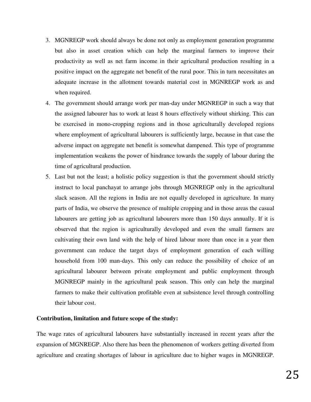- 3. MGNREGP work should always be done not only as employment generation programme but also in asset creation which can help the marginal farmers to improve their productivity as well as net farm income in their agricultural production resulting in a positive impact on the aggregate net benefit of the rural poor. This in turn necessitates an adequate increase in the allotment towards material cost in MGNREGP work as and when required.
- 4. The government should arrange work per man-day under MGNREGP in such a way that the assigned labourer has to work at least 8 hours effectively without shirking. This can be exercised in mono-cropping regions and in those agriculturally developed regions where employment of agricultural labourers is sufficiently large, because in that case the adverse impact on aggregate net benefit is somewhat dampened. This type of programme implementation weakens the power of hindrance towards the supply of labour during the time of agricultural production.
- 5. Last but not the least; a holistic policy suggestion is that the government should strictly instruct to local panchayat to arrange jobs through MGNREGP only in the agricultural slack season. All the regions in India are not equally developed in agriculture. In many parts of India, we observe the presence of multiple cropping and in those areas the casual labourers are getting job as agricultural labourers more than 150 days annually. If it is observed that the region is agriculturally developed and even the small farmers are cultivating their own land with the help of hired labour more than once in a year then government can reduce the target days of employment generation of each willing household from 100 man-days. This only can reduce the possibility of choice of an agricultural labourer between private employment and public employment through MGNREGP mainly in the agricultural peak season. This only can help the marginal farmers to make their cultivation profitable even at subsistence level through controlling their labour cost.

#### **Contribution, limitation and future scope of the study:**

The wage rates of agricultural labourers have substantially increased in recent years after the expansion of MGNREGP. Also there has been the phenomenon of workers getting diverted from agriculture and creating shortages of labour in agriculture due to higher wages in MGNREGP.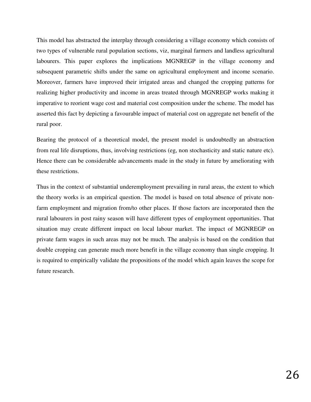This model has abstracted the interplay through considering a village economy which consists of two types of vulnerable rural population sections, viz, marginal farmers and landless agricultural labourers. This paper explores the implications MGNREGP in the village economy and subsequent parametric shifts under the same on agricultural employment and income scenario. Moreover, farmers have improved their irrigated areas and changed the cropping patterns for realizing higher productivity and income in areas treated through MGNREGP works making it imperative to reorient wage cost and material cost composition under the scheme. The model has asserted this fact by depicting a favourable impact of material cost on aggregate net benefit of the rural poor.

Bearing the protocol of a theoretical model, the present model is undoubtedly an abstraction from real life disruptions, thus, involving restrictions (eg, non stochasticity and static nature etc). Hence there can be considerable advancements made in the study in future by ameliorating with these restrictions.

Thus in the context of substantial underemployment prevailing in rural areas, the extent to which the theory works is an empirical question. The model is based on total absence of private nonfarm employment and migration from/to other places. If those factors are incorporated then the rural labourers in post rainy season will have different types of employment opportunities. That situation may create different impact on local labour market. The impact of MGNREGP on private farm wages in such areas may not be much. The analysis is based on the condition that double cropping can generate much more benefit in the village economy than single cropping. It is required to empirically validate the propositions of the model which again leaves the scope for future research.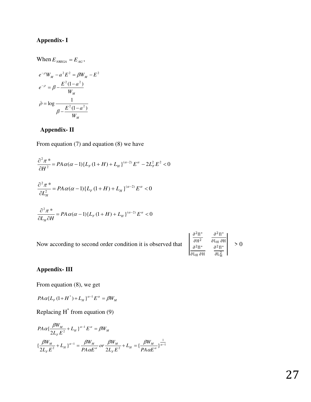# **Appendix- I**

When  $E_{NREGA} = E_{AG}$ ,

$$
e^{-\rho}W_M - a^2E^2 = \beta W_M - E^2
$$

$$
e^{-\rho} = \beta - \frac{E^2(1-a^2)}{W_M}
$$

$$
\hat{\rho} = \log \frac{1}{\beta - \frac{E^2(1-a^2)}{W_M}}
$$

# **Appendix- II**

From equation (7) and equation (8) we have

$$
\frac{\partial^2 \pi^*}{\partial H^2} = PA\alpha(\alpha - 1)\left\{L_F(1+H) + L_H\right\}^{(\alpha-2)}E^{\alpha} - 2L_F^2E^2 < 0
$$
\n
$$
\frac{\partial^2 \pi^*}{\partial L_H^2} = PA\alpha(\alpha - 1)\left\{L_F(1+H) + L_H\right\}^{(\alpha-2)}E^{\alpha} < 0
$$
\n
$$
\frac{\partial^2 \pi^*}{\partial L_H \partial H} = PA\alpha(\alpha - 1)\left\{L_F(1+H) + L_H\right\}^{(\alpha-2)}E^{\alpha} < 0
$$

Now according to second order condition it is observed that

$$
\begin{vmatrix}\n\frac{\partial^2 \Pi^*}{\partial H^2} & \frac{\partial^2 \Pi^*}{\partial L_H \partial H} \\
\frac{\partial^2 \Pi^*}{\partial L_H \partial H} & \frac{\partial^2 \Pi^*}{\partial L_H^2}\n\end{vmatrix} > 0
$$

# **Appendix- III**

 $\partial L_\mu \partial$ 

*H*

From equation (8), we get

 $P A \alpha \{L_F (1 + H^*) + L_H\}^{\alpha - 1} E^{\alpha} = \beta W_M$ 

Replacing  $H^*$  from equation (9)

$$
PA \alpha \left\{ \frac{\beta W_M}{2L_F E^2} + L_H \right\}^{\alpha - 1} E^{\alpha} = \beta W_M
$$
  

$$
\left\{ \frac{\beta W_M}{2L_F E^2} + L_H \right\}^{\alpha - 1} = \frac{\beta W_M}{PA \alpha E^{\alpha}} \text{ or } \frac{\beta W_M}{2L_F E^2} + L_H = \left\{ \frac{\beta W_M}{PA \alpha E^{\alpha}} \right\}^{\frac{1}{\alpha - 1}}
$$